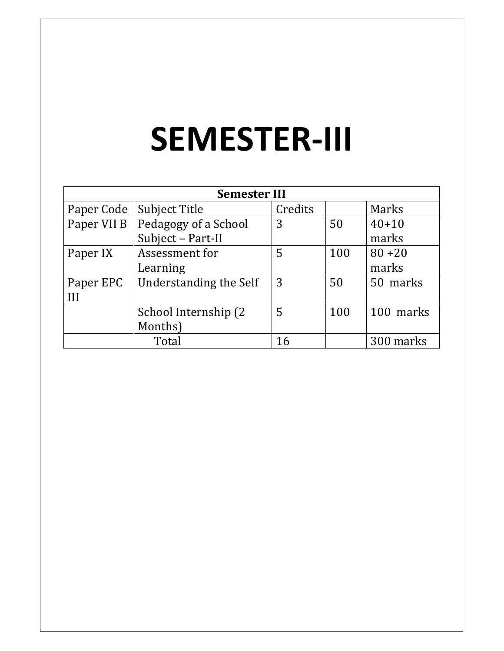# SEMESTER-III

| <b>Semester III</b> |                        |         |     |           |
|---------------------|------------------------|---------|-----|-----------|
| Paper Code          | Subject Title          | Credits |     | Marks     |
| Paper VII B         | Pedagogy of a School   | 3       | 50  | $40 + 10$ |
|                     | Subject - Part-II      |         |     | marks     |
| Paper IX            | Assessment for         | 5       | 100 | $80 + 20$ |
|                     | Learning               |         |     | marks     |
| Paper EPC           | Understanding the Self | 3       | 50  | 50 marks  |
| III                 |                        |         |     |           |
|                     | School Internship (2)  | 5       | 100 | 100 marks |
|                     | Months)                |         |     |           |
|                     | Total                  | 16      |     | 300 marks |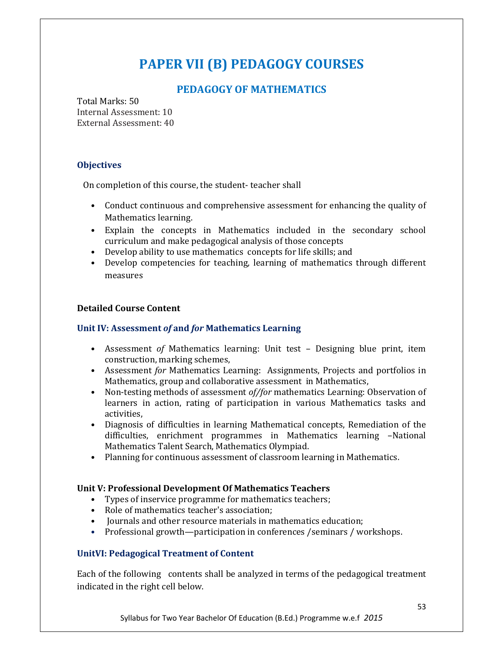## PAPER VII (B) PEDAGOGY COURSES

#### PEDAGOGY OF MATHEMATICS

Total Marks: 50 Internal Assessment: 10 External Assessment: 40

#### **Objectives**

On completion of this course, the student- teacher shall

- Conduct continuous and comprehensive assessment for enhancing the quality of Mathematics learning.
- Explain the concepts in Mathematics included in the secondary school curriculum and make pedagogical analysis of those concepts
- Develop ability to use mathematics concepts for life skills; and
- Develop competencies for teaching, learning of mathematics through different measures

#### Detailed Course Content

#### Unit IV: Assessment of and for Mathematics Learning

- Assessment of Mathematics learning: Unit test Designing blue print, item construction, marking schemes,
- Assessment for Mathematics Learning: Assignments, Projects and portfolios in Mathematics, group and collaborative assessment in Mathematics,
- Non-testing methods of assessment *of/for* mathematics Learning: Observation of learners in action, rating of participation in various Mathematics tasks and activities,
- Diagnosis of difficulties in learning Mathematical concepts, Remediation of the difficulties, enrichment programmes in Mathematics learning –National Mathematics Talent Search, Mathematics Olympiad.
- Planning for continuous assessment of classroom learning in Mathematics.

#### Unit V: Professional Development Of Mathematics Teachers

- Types of inservice programme for mathematics teachers;
- Role of mathematics teacher's association;
- Journals and other resource materials in mathematics education;
- Professional growth—participation in conferences /seminars / workshops.

#### UnitVI: Pedagogical Treatment of Content

Each of the following contents shall be analyzed in terms of the pedagogical treatment indicated in the right cell below.

Syllabus for Two Year Bachelor Of Education (B.Ed.) Programme w.e.f 2015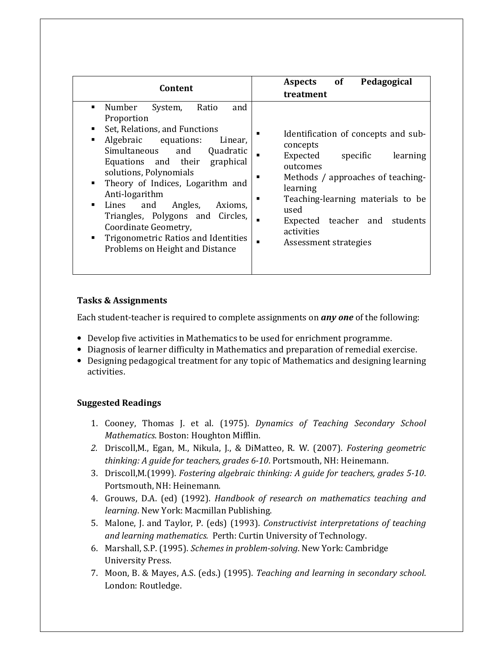| Content                                                                                                                                                                                                                                                                                                                                                                                                                                                                                                                   | of<br>Pedagogical<br>Aspects<br>treatment                                                                                                                                                                                                                                |
|---------------------------------------------------------------------------------------------------------------------------------------------------------------------------------------------------------------------------------------------------------------------------------------------------------------------------------------------------------------------------------------------------------------------------------------------------------------------------------------------------------------------------|--------------------------------------------------------------------------------------------------------------------------------------------------------------------------------------------------------------------------------------------------------------------------|
| Number<br>Ratio<br>and<br>System,<br>$\blacksquare$<br>Proportion<br>Set, Relations, and Functions<br>٠<br>Algebraic equations:<br>Linear,<br>п<br>Simultaneous<br>and<br>Quadratic<br>Equations and their graphical<br>solutions, Polynomials<br>Theory of Indices, Logarithm and<br>$\blacksquare$<br>Anti-logarithm<br>Lines<br>Angles,<br>and<br>$\blacksquare$<br>Axioms.<br>Triangles, Polygons and Circles,<br>Coordinate Geometry,<br>Trigonometric Ratios and Identities<br>٠<br>Problems on Height and Distance | Identification of concepts and sub-<br>concepts<br>Expected<br>specific<br>learning<br>outcomes<br>Methods / approaches of teaching-<br>learning<br>Teaching-learning materials to be<br>used<br>Expected teacher and<br>students<br>activities<br>Assessment strategies |

#### Tasks & Assignments

Each student-teacher is required to complete assignments on any one of the following:

- Develop five activities in Mathematics to be used for enrichment programme.
- Diagnosis of learner difficulty in Mathematics and preparation of remedial exercise.
- Designing pedagogical treatment for any topic of Mathematics and designing learning activities.

- 1. Cooney, Thomas J. et al. (1975). Dynamics of Teaching Secondary School Mathematics. Boston: Houghton Mifflin.
- 2. Driscoll,M., Egan, M., Nikula, J., & DiMatteo, R. W. (2007). Fostering geometric thinking: A guide for teachers, grades 6-10. Portsmouth, NH: Heinemann.
- 3. Driscoll,M.(1999). Fostering algebraic thinking: A guide for teachers, grades 5-10. Portsmouth, NH: Heinemann.
- 4. Grouws, D.A. (ed) (1992). Handbook of research on mathematics teaching and learning. New York: Macmillan Publishing.
- 5. Malone, J. and Taylor, P. (eds) (1993). Constructivist interpretations of teaching and learning mathematics. Perth: Curtin University of Technology.
- 6. Marshall, S.P. (1995). Schemes in problem-solving. New York: Cambridge University Press.
- 7. Moon, B. & Mayes, A.S. (eds.) (1995). Teaching and learning in secondary school. London: Routledge.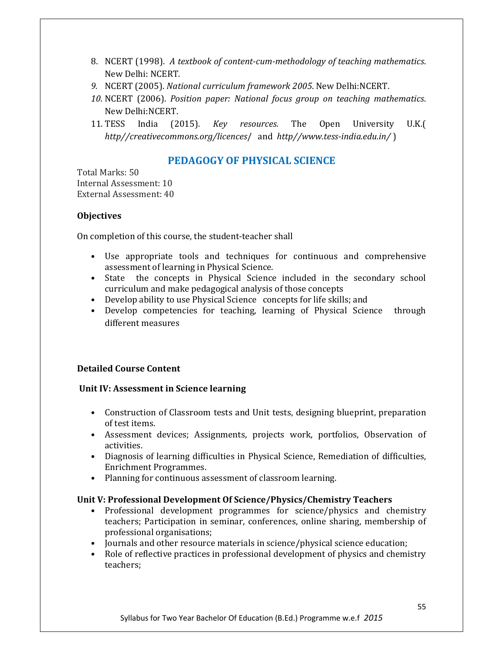- 8. NCERT (1998). A textbook of content-cum-methodology of teaching mathematics. New Delhi: NCERT.
- 9. NCERT (2005). National curriculum framework 2005. New Delhi:NCERT.
- 10. NCERT (2006). Position paper: National focus group on teaching mathematics. New Delhi:NCERT.
- 11. TESS India (2015). Key resources. The Open University U.K.( http//creativecommons.org/licences/ and http//www.tess-india.edu.in/)

#### PEDAGOGY OF PHYSICAL SCIENCE

Total Marks: 50 Internal Assessment: 10 External Assessment: 40

#### **Objectives**

On completion of this course, the student-teacher shall

- Use appropriate tools and techniques for continuous and comprehensive assessment of learning in Physical Science.
- State the concepts in Physical Science included in the secondary school curriculum and make pedagogical analysis of those concepts
- Develop ability to use Physical Science concepts for life skills; and
- Develop competencies for teaching, learning of Physical Science through different measures

#### Detailed Course Content

#### Unit IV: Assessment in Science learning

- Construction of Classroom tests and Unit tests, designing blueprint, preparation of test items.
- Assessment devices; Assignments, projects work, portfolios, Observation of activities.
- Diagnosis of learning difficulties in Physical Science, Remediation of difficulties, Enrichment Programmes.
- Planning for continuous assessment of classroom learning.

#### Unit V: Professional Development Of Science/Physics/Chemistry Teachers

- Professional development programmes for science/physics and chemistry teachers; Participation in seminar, conferences, online sharing, membership of professional organisations;
- Journals and other resource materials in science/physical science education;
- Role of reflective practices in professional development of physics and chemistry teachers;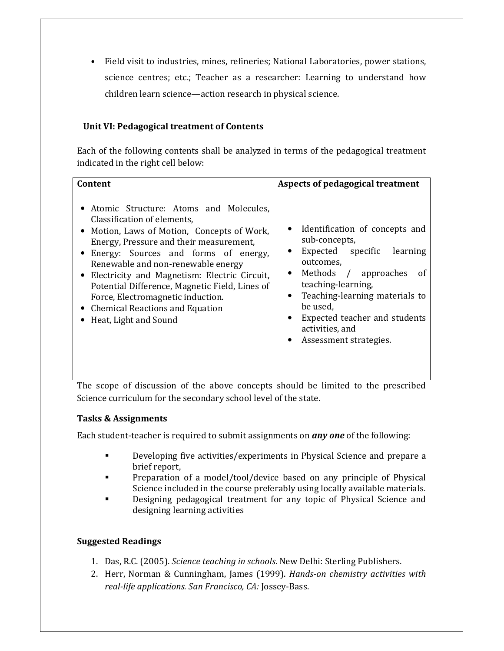• Field visit to industries, mines, refineries; National Laboratories, power stations, science centres; etc.; Teacher as a researcher: Learning to understand how children learn science—action research in physical science.

#### Unit VI: Pedagogical treatment of Contents

Each of the following contents shall be analyzed in terms of the pedagogical treatment indicated in the right cell below:

| Content                                                                                                                                                                                                                                                                                                                                                                                                                                                  | Aspects of pedagogical treatment                                                                                                                                                                                                                                                              |
|----------------------------------------------------------------------------------------------------------------------------------------------------------------------------------------------------------------------------------------------------------------------------------------------------------------------------------------------------------------------------------------------------------------------------------------------------------|-----------------------------------------------------------------------------------------------------------------------------------------------------------------------------------------------------------------------------------------------------------------------------------------------|
| • Atomic Structure: Atoms and Molecules,<br>Classification of elements.<br>• Motion, Laws of Motion, Concepts of Work,<br>Energy, Pressure and their measurement,<br>• Energy: Sources and forms of energy,<br>Renewable and non-renewable energy<br>• Electricity and Magnetism: Electric Circuit,<br>Potential Difference, Magnetic Field, Lines of<br>Force, Electromagnetic induction.<br>• Chemical Reactions and Equation<br>Heat, Light and Sound | • Identification of concepts and<br>sub-concepts,<br>Expected specific<br>learning<br>outcomes.<br>Methods / approaches<br>-of<br>$\bullet$<br>teaching-learning,<br>Teaching-learning materials to<br>be used,<br>Expected teacher and students<br>activities, and<br>Assessment strategies. |

The scope of discussion of the above concepts should be limited to the prescribed Science curriculum for the secondary school level of the state.

#### Tasks & Assignments

Each student-teacher is required to submit assignments on *any one* of the following:

- - Developing five activities/experiments in Physical Science and prepare a brief report,
- - Preparation of a model/tool/device based on any principle of Physical Science included in the course preferably using locally available materials.
- - Designing pedagogical treatment for any topic of Physical Science and designing learning activities

- 1. Das, R.C. (2005). Science teaching in schools. New Delhi: Sterling Publishers.
- 2. Herr, Norman & Cunningham, James (1999). Hands-on chemistry activities with real-life applications. San Francisco, CA: Jossey-Bass.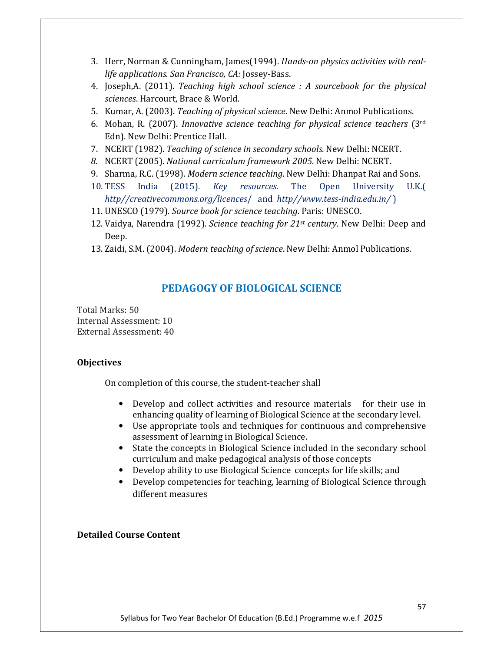- 3. Herr, Norman & Cunningham, James(1994). Hands-on physics activities with reallife applications. San Francisco, CA: Jossey-Bass.
- 4. Joseph,A. (2011). Teaching high school science : A sourcebook for the physical sciences. Harcourt, Brace & World.
- 5. Kumar, A. (2003). Teaching of physical science. New Delhi: Anmol Publications.
- 6. Mohan, R. (2007). Innovative science teaching for physical science teachers ( $3<sup>rd</sup>$ Edn). New Delhi: Prentice Hall.
- 7. NCERT (1982). Teaching of science in secondary schools. New Delhi: NCERT.
- 8. NCERT (2005). National curriculum framework 2005. New Delhi: NCERT.
- 9. Sharma, R.C. (1998). Modern science teaching. New Delhi: Dhanpat Rai and Sons.
- 10. TESS India (2015). Key resources. The Open University U.K.( http//creativecommons.org/licences/ and http//www.tess-india.edu.in/)
- 11. UNESCO (1979). Source book for science teaching. Paris: UNESCO.
- 12. Vaidya, Narendra (1992). Science teaching for  $21^{st}$  century. New Delhi: Deep and Deep.
- 13. Zaidi, S.M. (2004). Modern teaching of science. New Delhi: Anmol Publications.

#### PEDAGOGY OF BIOLOGICAL SCIENCE

Total Marks: 50 Internal Assessment: 10 External Assessment: 40

#### **Objectives**

On completion of this course, the student-teacher shall

- Develop and collect activities and resource materials for their use in enhancing quality of learning of Biological Science at the secondary level.
- Use appropriate tools and techniques for continuous and comprehensive assessment of learning in Biological Science.
- State the concepts in Biological Science included in the secondary school curriculum and make pedagogical analysis of those concepts
- Develop ability to use Biological Science concepts for life skills; and
- Develop competencies for teaching, learning of Biological Science through different measures

#### Detailed Course Content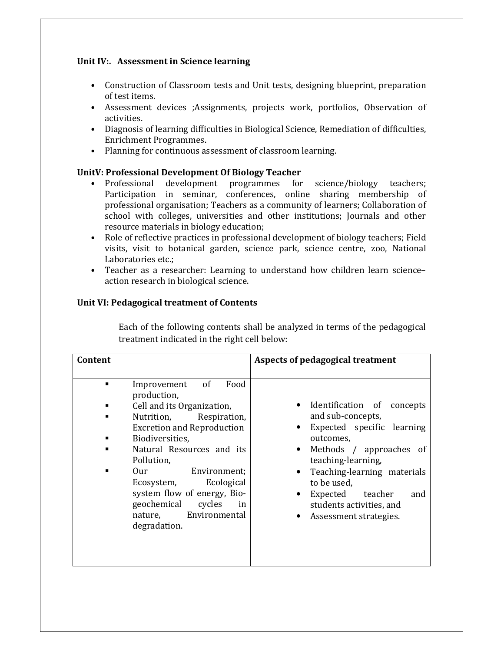#### Unit IV:. Assessment in Science learning

- Construction of Classroom tests and Unit tests, designing blueprint, preparation of test items.
- Assessment devices ;Assignments, projects work, portfolios, Observation of activities.
- Diagnosis of learning difficulties in Biological Science, Remediation of difficulties, Enrichment Programmes.
- Planning for continuous assessment of classroom learning.

#### UnitV: Professional Development Of Biology Teacher

- Professional development programmes for science/biology teachers; Participation in seminar, conferences, online sharing membership of professional organisation; Teachers as a community of learners; Collaboration of school with colleges, universities and other institutions; Journals and other resource materials in biology education;
- Role of reflective practices in professional development of biology teachers; Field visits, visit to botanical garden, science park, science centre, zoo, National Laboratories etc.;
- Teacher as a researcher: Learning to understand how children learn science– action research in biological science.

#### Unit VI: Pedagogical treatment of Contents

Each of the following contents shall be analyzed in terms of the pedagogical treatment indicated in the right cell below:

| Content                                                                                                                                                                                                                                                                                                                                                                                                  | Aspects of pedagogical treatment                                                                                                                                                                                                                                              |
|----------------------------------------------------------------------------------------------------------------------------------------------------------------------------------------------------------------------------------------------------------------------------------------------------------------------------------------------------------------------------------------------------------|-------------------------------------------------------------------------------------------------------------------------------------------------------------------------------------------------------------------------------------------------------------------------------|
| <sub>of</sub><br>Food<br>Improvement<br>$\blacksquare$<br>production,<br>Cell and its Organization,<br>Nutrition,<br>Respiration,<br>٠<br><b>Excretion and Reproduction</b><br>Biodiversities,<br>Natural Resources and its<br>Pollution,<br>Environment;<br>0ur templem<br>Ecological<br>Ecosystem,<br>system flow of energy, Bio-<br>geochemical cycles<br>in<br>nature, Environmental<br>degradation. | Identification of concepts<br>and sub-concepts,<br>Expected specific learning<br>outcomes.<br>Methods / approaches of<br>teaching-learning,<br>Teaching-learning materials<br>to be used,<br>Expected<br>teacher<br>and<br>students activities, and<br>Assessment strategies. |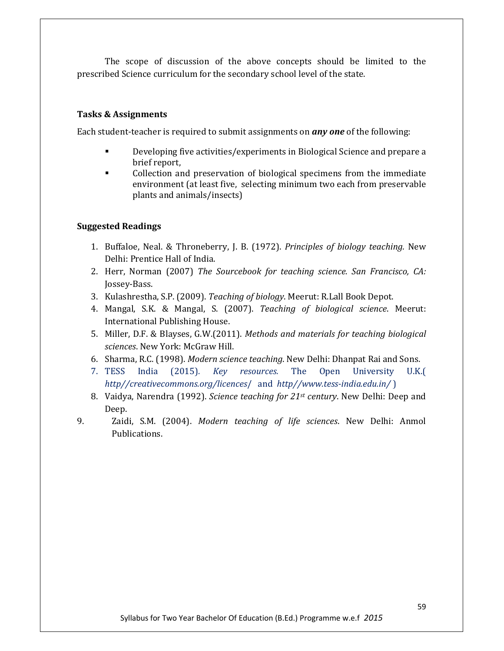The scope of discussion of the above concepts should be limited to the prescribed Science curriculum for the secondary school level of the state.

#### Tasks & Assignments

Each student-teacher is required to submit assignments on *any one* of the following:

- - Developing five activities/experiments in Biological Science and prepare a brief report,
- - Collection and preservation of biological specimens from the immediate environment (at least five, selecting minimum two each from preservable plants and animals/insects)

- 1. Buffaloe, Neal. & Throneberry, J. B. (1972). Principles of biology teaching. New Delhi: Prentice Hall of India.
- 2. Herr, Norman (2007) The Sourcebook for teaching science. San Francisco, CA: Jossey-Bass.
- 3. Kulashrestha, S.P. (2009). Teaching of biology. Meerut: R.Lall Book Depot.
- 4. Mangal, S.K. & Mangal, S. (2007). Teaching of biological science. Meerut: International Publishing House.
- 5. Miller, D.F. & Blayses, G.W.(2011). Methods and materials for teaching biological sciences. New York: McGraw Hill.
- 6. Sharma, R.C. (1998). Modern science teaching. New Delhi: Dhanpat Rai and Sons.
- 7. TESS India (2015). Key resources. The Open University U.K.( http//creativecommons.org/licences/ and http//www.tess-india.edu.in/)
- 8. Vaidya, Narendra (1992). Science teaching for  $21^{st}$  century. New Delhi: Deep and Deep.
- 9. Zaidi, S.M. (2004). Modern teaching of life sciences. New Delhi: Anmol Publications.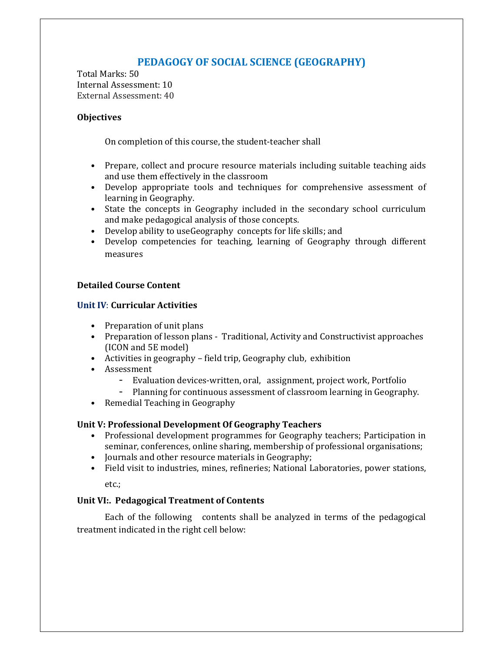### PEDAGOGY OF SOCIAL SCIENCE (GEOGRAPHY)

Total Marks: 50 Internal Assessment: 10 External Assessment: 40

#### **Objectives**

On completion of this course, the student-teacher shall

- Prepare, collect and procure resource materials including suitable teaching aids and use them effectively in the classroom
- Develop appropriate tools and techniques for comprehensive assessment of learning in Geography.
- State the concepts in Geography included in the secondary school curriculum and make pedagogical analysis of those concepts.
- Develop ability to useGeography concepts for life skills; and
- Develop competencies for teaching, learning of Geography through different measures

#### Detailed Course Content

#### Unit IV: Curricular Activities

- Preparation of unit plans
- Preparation of lesson plans Traditional, Activity and Constructivist approaches (ICON and 5E model)
- Activities in geography field trip, Geography club, exhibition
- Assessment
	- Evaluation devices-written, oral, assignment, project work, Portfolio
	- Planning for continuous assessment of classroom learning in Geography.
- Remedial Teaching in Geography

#### Unit V: Professional Development Of Geography Teachers

- Professional development programmes for Geography teachers; Participation in seminar, conferences, online sharing, membership of professional organisations;
- Journals and other resource materials in Geography;
- Field visit to industries, mines, refineries; National Laboratories, power stations,

etc.;

#### Unit VI:. Pedagogical Treatment of Contents

Each of the following contents shall be analyzed in terms of the pedagogical treatment indicated in the right cell below: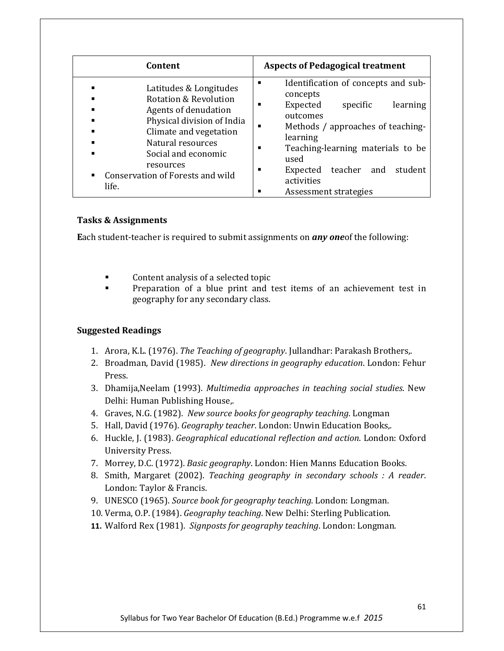| Content                                                                                                                                                                                                                                                            | <b>Aspects of Pedagogical treatment</b>                                                                                                                                                                                                                                              |
|--------------------------------------------------------------------------------------------------------------------------------------------------------------------------------------------------------------------------------------------------------------------|--------------------------------------------------------------------------------------------------------------------------------------------------------------------------------------------------------------------------------------------------------------------------------------|
| Latitudes & Longitudes<br><b>Rotation &amp; Revolution</b><br>Agents of denudation<br>Physical division of India<br>Climate and vegetation<br>Natural resources<br>Social and economic<br>resources<br>Conservation of Forests and wild<br>$\blacksquare$<br>life. | Identification of concepts and sub-<br>п<br>concepts<br>Expected<br>learning<br>specific<br>outcomes<br>Methods / approaches of teaching-<br>learning<br>Teaching-learning materials to be<br>used<br>teacher and<br>student<br>Expected<br>п<br>activities<br>Assessment strategies |

#### Tasks & Assignments

Each student-teacher is required to submit assignments on *any one* of the following:

- -Content analysis of a selected topic
- - Preparation of a blue print and test items of an achievement test in geography for any secondary class.

- 1. Arora, K.L. (1976). The Teaching of geography. Jullandhar: Parakash Brothers,.
- 2. Broadman, David (1985). New directions in geography education. London: Fehur Press.
- 3. Dhamija,Neelam (1993). Multimedia approaches in teaching social studies. New Delhi: Human Publishing House,.
- 4. Graves, N.G. (1982). New source books for geography teaching. Longman
- 5. Hall, David (1976). Geography teacher. London: Unwin Education Books,.
- 6. Huckle, J. (1983). Geographical educational reflection and action. London: Oxford University Press.
- 7. Morrey, D.C. (1972). Basic geography. London: Hien Manns Education Books.
- 8. Smith, Margaret (2002). Teaching geography in secondary schools : A reader. London: Taylor & Francis.
- 9. UNESCO (1965). Source book for geography teaching. London: Longman.
- 10. Verma, O.P. (1984). Geography teaching. New Delhi: Sterling Publication.
- 11. Walford Rex (1981). Signposts for geography teaching. London: Longman.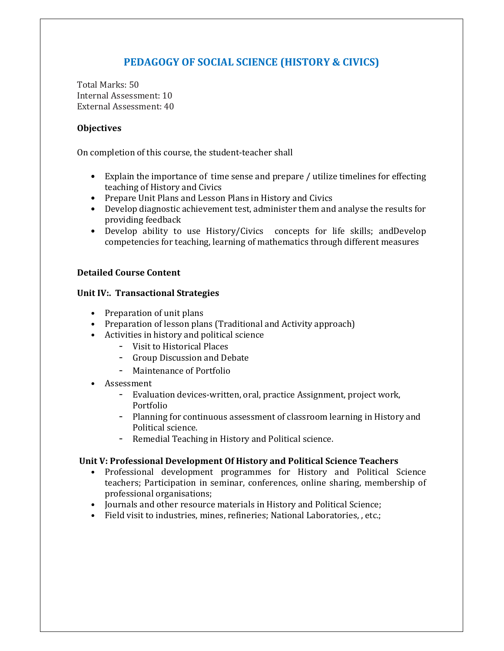### PEDAGOGY OF SOCIAL SCIENCE (HISTORY & CIVICS)

Total Marks: 50 Internal Assessment: 10 External Assessment: 40

#### **Objectives**

On completion of this course, the student-teacher shall

- Explain the importance of time sense and prepare / utilize timelines for effecting teaching of History and Civics
- Prepare Unit Plans and Lesson Plans in History and Civics
- Develop diagnostic achievement test, administer them and analyse the results for providing feedback
- Develop ability to use History/Civics concepts for life skills; andDevelop competencies for teaching, learning of mathematics through different measures

#### Detailed Course Content

#### Unit IV:. Transactional Strategies

- Preparation of unit plans
- Preparation of lesson plans (Traditional and Activity approach)
- Activities in history and political science
	- Visit to Historical Places
	- Group Discussion and Debate
	- Maintenance of Portfolio
- Assessment
	- Evaluation devices-written, oral, practice Assignment, project work, Portfolio
	- Planning for continuous assessment of classroom learning in History and Political science.
	- Remedial Teaching in History and Political science.

#### Unit V: Professional Development Of History and Political Science Teachers

- Professional development programmes for History and Political Science teachers; Participation in seminar, conferences, online sharing, membership of professional organisations;
- Journals and other resource materials in History and Political Science;
- Field visit to industries, mines, refineries; National Laboratories, , etc.;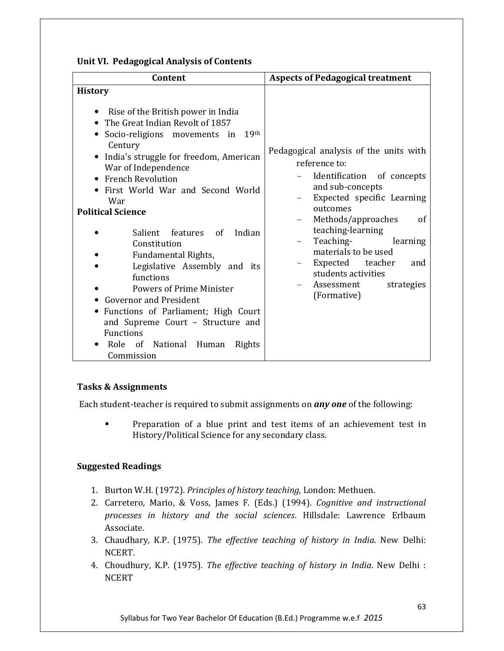| Unit VI. Pedagogical Analysis of Contents |  |  |  |
|-------------------------------------------|--|--|--|
|-------------------------------------------|--|--|--|

| Content                                                                                                                                                                                                                                                                                                                                                                                                                                                                                                                                                                                                                                                                            | <b>Aspects of Pedagogical treatment</b>                                                                                                                                                                                                                                                                                                            |
|------------------------------------------------------------------------------------------------------------------------------------------------------------------------------------------------------------------------------------------------------------------------------------------------------------------------------------------------------------------------------------------------------------------------------------------------------------------------------------------------------------------------------------------------------------------------------------------------------------------------------------------------------------------------------------|----------------------------------------------------------------------------------------------------------------------------------------------------------------------------------------------------------------------------------------------------------------------------------------------------------------------------------------------------|
| <b>History</b><br>Rise of the British power in India<br>• The Great Indian Revolt of 1857<br>Socio-religions movements in<br>19 <sup>th</sup><br>$\bullet$<br>Century<br>• India's struggle for freedom, American<br>War of Independence<br>• French Revolution<br>• First World War and Second World<br>War<br><b>Political Science</b><br>Salient features of Indian<br>Constitution<br>Fundamental Rights,<br>Legislative Assembly and its<br>functions<br><b>Powers of Prime Minister</b><br><b>Governor and President</b><br>• Functions of Parliament; High Court<br>and Supreme Court - Structure and<br><b>Functions</b><br>Role of National Human<br>Rights<br>Commission | Pedagogical analysis of the units with<br>reference to:<br>Identification of concepts<br>and sub-concepts<br>Expected specific Learning<br>outcomes<br>Methods/approaches<br>of<br>teaching-learning<br>Teaching-<br>learning<br>materials to be used<br>Expected teacher<br>and<br>students activities<br>Assessment<br>strategies<br>(Formative) |

#### Tasks & Assignments

Each student-teacher is required to submit assignments on any one of the following:

- Preparation of a blue print and test items of an achievement test in History/Political Science for any secondary class.

- 1. Burton W.H. (1972). Principles of history teaching, London: Methuen.
- 2. Carretero, Mario, & Voss, James F. (Eds.) (1994). Cognitive and instructional processes in history and the social sciences. Hillsdale: Lawrence Erlbaum Associate.
- 3. Chaudhary, K.P. (1975). The effective teaching of history in India. New Delhi: NCERT.
- 4. Choudhury, K.P. (1975). The effective teaching of history in India. New Delhi : **NCERT**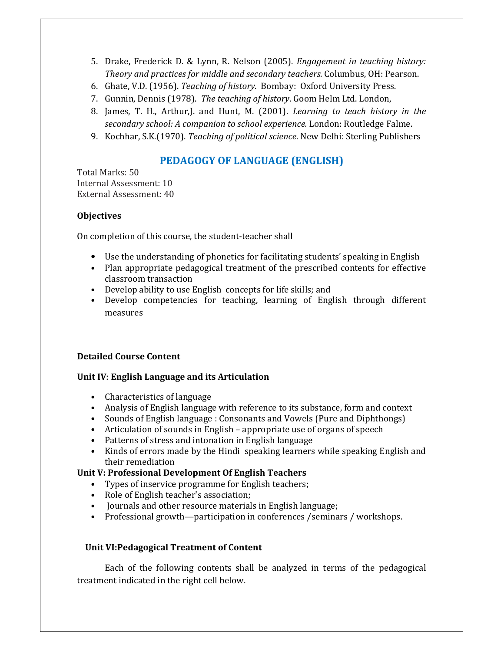- 5. Drake, Frederick D. & Lynn, R. Nelson (2005). Engagement in teaching history: Theory and practices for middle and secondary teachers. Columbus, OH: Pearson.
- 6. Ghate, V.D. (1956). Teaching of history. Bombay: Oxford University Press.
- 7. Gunnin, Dennis (1978). The teaching of history. Goom Helm Ltd. London,
- 8. James, T. H., Arthur,J. and Hunt, M. (2001). Learning to teach history in the secondary school: A companion to school experience. London: Routledge Falme.
- 9. Kochhar, S.K.(1970). Teaching of political science. New Delhi: Sterling Publishers

#### PEDAGOGY OF LANGUAGE (ENGLISH)

Total Marks: 50 Internal Assessment: 10 External Assessment: 40

#### **Objectives**

On completion of this course, the student-teacher shall

- Use the understanding of phonetics for facilitating students' speaking in English
- Plan appropriate pedagogical treatment of the prescribed contents for effective classroom transaction
- Develop ability to use English concepts for life skills; and
- Develop competencies for teaching, learning of English through different measures

#### Detailed Course Content

#### Unit IV: English Language and its Articulation

- Characteristics of language
- Analysis of English language with reference to its substance, form and context
- Sounds of English language : Consonants and Vowels (Pure and Diphthongs)
- Articulation of sounds in English appropriate use of organs of speech
- Patterns of stress and intonation in English language
- Kinds of errors made by the Hindi speaking learners while speaking English and their remediation

#### Unit V: Professional Development Of English Teachers

- Types of inservice programme for English teachers;
- Role of English teacher's association;
- Journals and other resource materials in English language;
- Professional growth—participation in conferences /seminars / workshops.

#### Unit VI:Pedagogical Treatment of Content

Each of the following contents shall be analyzed in terms of the pedagogical treatment indicated in the right cell below.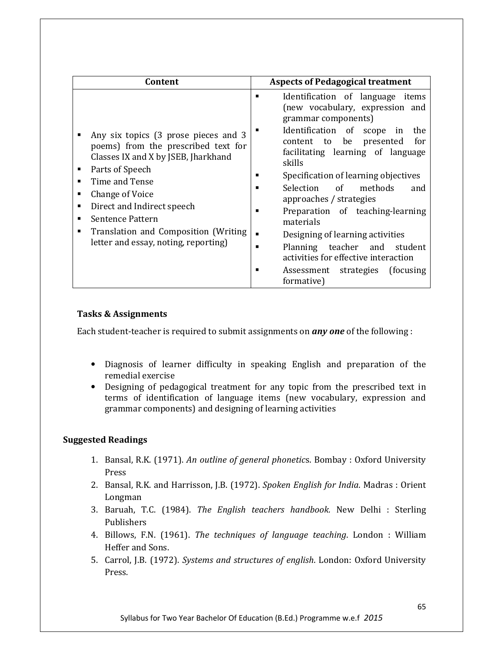| Content                                                                                                                                                                                                                                                                                                                           | <b>Aspects of Pedagogical treatment</b>                                                                                                                                                                                                                                                                                                                                                                                                                                                                                                                                        |
|-----------------------------------------------------------------------------------------------------------------------------------------------------------------------------------------------------------------------------------------------------------------------------------------------------------------------------------|--------------------------------------------------------------------------------------------------------------------------------------------------------------------------------------------------------------------------------------------------------------------------------------------------------------------------------------------------------------------------------------------------------------------------------------------------------------------------------------------------------------------------------------------------------------------------------|
| Any six topics (3 prose pieces and 3<br>poems) from the prescribed text for<br>Classes IX and X by JSEB, Jharkhand<br>Parts of Speech<br>٠<br>Time and Tense<br>Change of Voice<br>٠<br>Direct and Indirect speech<br>٠<br>Sentence Pattern<br>Translation and Composition (Writing)<br>٠<br>letter and essay, noting, reporting) | Identification of language items<br>п<br>(new vocabulary, expression and<br>grammar components)<br>Identification of scope<br>in<br>the<br>be<br>presented<br>for<br>content to<br>facilitating learning of language<br>skills<br>Specification of learning objectives<br>Selection of<br>methods<br>and<br>approaches / strategies<br>Preparation of teaching-learning<br>materials<br>Designing of learning activities<br>$\blacksquare$<br>Planning teacher and student<br>г<br>activities for effective interaction<br>Assessment strategies (focusing)<br>п<br>formative) |

#### Tasks & Assignments

Each student-teacher is required to submit assignments on **any one** of the following :

- Diagnosis of learner difficulty in speaking English and preparation of the remedial exercise
- Designing of pedagogical treatment for any topic from the prescribed text in terms of identification of language items (new vocabulary, expression and grammar components) and designing of learning activities

- 1. Bansal, R.K. (1971). An outline of general phonetics. Bombay : Oxford University Press
- 2. Bansal, R.K. and Harrisson, J.B. (1972). Spoken English for India. Madras : Orient Longman
- 3. Baruah, T.C. (1984). The English teachers handbook. New Delhi : Sterling Publishers
- 4. Billows, F.N. (1961). The techniques of language teaching. London : William Heffer and Sons.
- 5. Carrol, J.B. (1972). Systems and structures of english. London: Oxford University Press.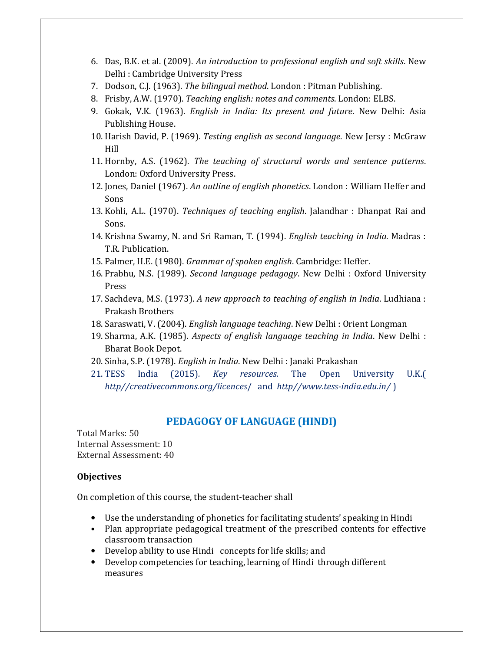- 6. Das, B.K. et al. (2009). An introduction to professional english and soft skills. New Delhi : Cambridge University Press
- 7. Dodson, C.J. (1963). The bilingual method. London : Pitman Publishing.
- 8. Frisby, A.W. (1970). Teaching english: notes and comments. London: ELBS.
- 9. Gokak, V.K. (1963). English in India: Its present and future. New Delhi: Asia Publishing House.
- 10. Harish David, P. (1969). Testing english as second language. New Jersy : McGraw Hill
- 11. Hornby, A.S. (1962). The teaching of structural words and sentence patterns. London: Oxford University Press.
- 12. Jones, Daniel (1967). An outline of english phonetics. London : William Heffer and Sons
- 13. Kohli, A.L. (1970). Techniques of teaching english. Jalandhar : Dhanpat Rai and Sons.
- 14. Krishna Swamy, N. and Sri Raman, T. (1994). English teaching in India. Madras : T.R. Publication.
- 15. Palmer, H.E. (1980). Grammar of spoken english. Cambridge: Heffer.
- 16. Prabhu, N.S. (1989). Second language pedagogy. New Delhi : Oxford University Press
- 17. Sachdeva, M.S. (1973). A new approach to teaching of english in India. Ludhiana : Prakash Brothers
- 18. Saraswati, V. (2004). English language teaching. New Delhi : Orient Longman
- 19. Sharma, A.K. (1985). Aspects of english language teaching in India. New Delhi : Bharat Book Depot.
- 20. Sinha, S.P. (1978). English in India. New Delhi : Janaki Prakashan
- 21. TESS India (2015). Key resources. The Open University U.K.( http//creativecommons.org/licences/ and http//www.tess-india.edu.in/)

#### PEDAGOGY OF LANGUAGE (HINDI)

Total Marks: 50 Internal Assessment: 10 External Assessment: 40

#### **Objectives**

On completion of this course, the student-teacher shall

- Use the understanding of phonetics for facilitating students' speaking in Hindi
- Plan appropriate pedagogical treatment of the prescribed contents for effective classroom transaction
- Develop ability to use Hindi concepts for life skills; and
- Develop competencies for teaching, learning of Hindi through different measures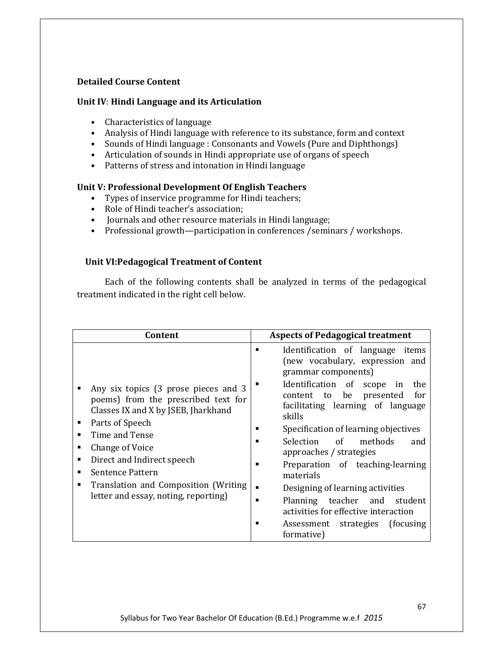#### Detailed Course Content

#### Unit IV: Hindi Language and its Articulation

- Characteristics of language
- Analysis of Hindi language with reference to its substance, form and context
- Sounds of Hindi language : Consonants and Vowels (Pure and Diphthongs)
- Articulation of sounds in Hindi appropriate use of organs of speech
- Patterns of stress and intonation in Hindi language

#### Unit V: Professional Development Of English Teachers

- Types of inservice programme for Hindi teachers;
- Role of Hindi teacher's association;
- Journals and other resource materials in Hindi language;
- Professional growth—participation in conferences /seminars / workshops.

#### Unit VI:Pedagogical Treatment of Content

Each of the following contents shall be analyzed in terms of the pedagogical treatment indicated in the right cell below.

| Content                                                                                                                                                                                                                                                                                                                                       | <b>Aspects of Pedagogical treatment</b>                                                                                                                                                                                                                                                                                                                                                                                                                                                                                                                            |
|-----------------------------------------------------------------------------------------------------------------------------------------------------------------------------------------------------------------------------------------------------------------------------------------------------------------------------------------------|--------------------------------------------------------------------------------------------------------------------------------------------------------------------------------------------------------------------------------------------------------------------------------------------------------------------------------------------------------------------------------------------------------------------------------------------------------------------------------------------------------------------------------------------------------------------|
| Any six topics (3 prose pieces and 3<br>poems) from the prescribed text for<br>Classes IX and X by JSEB, Jharkhand<br>Parts of Speech<br>٠<br>Time and Tense<br>▪<br>Change of Voice<br>п<br>Direct and Indirect speech<br>п<br><b>Sentence Pattern</b><br>Translation and Composition (Writing)<br>■<br>letter and essay, noting, reporting) | Identification of language items<br>п<br>(new vocabulary, expression and<br>grammar components)<br>Identification of scope<br>in<br>the<br>be<br>content to<br>presented<br>for<br>facilitating learning of language<br>skills<br>Specification of learning objectives<br>Selection of<br>methods<br>and<br>approaches / strategies<br>Preparation of teaching-learning<br>п<br>materials<br>Designing of learning activities<br>٠<br>Planning teacher and<br>student<br>activities for effective interaction<br>Assessment strategies<br>(focusing)<br>formative) |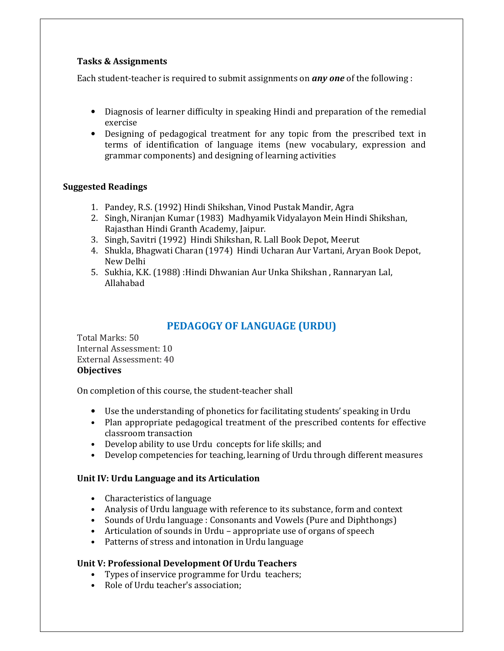#### Tasks & Assignments

Each student-teacher is required to submit assignments on **any one** of the following :

- Diagnosis of learner difficulty in speaking Hindi and preparation of the remedial exercise
- Designing of pedagogical treatment for any topic from the prescribed text in terms of identification of language items (new vocabulary, expression and grammar components) and designing of learning activities

#### Suggested Readings

- 1. Pandey, R.S. (1992) Hindi Shikshan, Vinod Pustak Mandir, Agra
- 2. Singh, Niranjan Kumar (1983) Madhyamik Vidyalayon Mein Hindi Shikshan, Rajasthan Hindi Granth Academy, Jaipur.
- 3. Singh, Savitri (1992) Hindi Shikshan, R. Lall Book Depot, Meerut
- 4. Shukla, Bhagwati Charan (1974) Hindi Ucharan Aur Vartani, Aryan Book Depot, New Delhi
- 5. Sukhia, K.K. (1988) :Hindi Dhwanian Aur Unka Shikshan , Rannaryan Lal, Allahabad

#### PEDAGOGY OF LANGUAGE (URDU)

Total Marks: 50 Internal Assessment: 10 External Assessment: 40 **Objectives** 

On completion of this course, the student-teacher shall

- Use the understanding of phonetics for facilitating students' speaking in Urdu
- Plan appropriate pedagogical treatment of the prescribed contents for effective classroom transaction
- Develop ability to use Urdu concepts for life skills; and
- Develop competencies for teaching, learning of Urdu through different measures

#### Unit IV: Urdu Language and its Articulation

- Characteristics of language
- Analysis of Urdu language with reference to its substance, form and context
- Sounds of Urdu language : Consonants and Vowels (Pure and Diphthongs)
- Articulation of sounds in Urdu appropriate use of organs of speech
- Patterns of stress and intonation in Urdu language

#### Unit V: Professional Development Of Urdu Teachers

- Types of inservice programme for Urdu teachers;
- Role of Urdu teacher's association;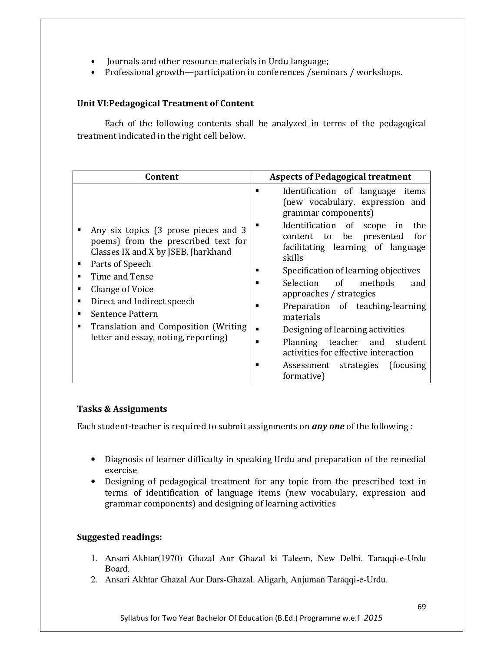- Journals and other resource materials in Urdu language;
- Professional growth—participation in conferences /seminars / workshops.

#### Unit VI:Pedagogical Treatment of Content

Each of the following contents shall be analyzed in terms of the pedagogical treatment indicated in the right cell below.

| Content                                                                                                                                                                                                                                                                                                                               | <b>Aspects of Pedagogical treatment</b>                                                                                                                                                                                                                                                                                                                                                                                                                                                                                                                        |
|---------------------------------------------------------------------------------------------------------------------------------------------------------------------------------------------------------------------------------------------------------------------------------------------------------------------------------------|----------------------------------------------------------------------------------------------------------------------------------------------------------------------------------------------------------------------------------------------------------------------------------------------------------------------------------------------------------------------------------------------------------------------------------------------------------------------------------------------------------------------------------------------------------------|
| Any six topics (3 prose pieces and 3<br>poems) from the prescribed text for<br>Classes IX and X by JSEB, Jharkhand<br>Parts of Speech<br>Time and Tense<br>■<br>Change of Voice<br>٠<br>Direct and Indirect speech<br>٠<br>Sentence Pattern<br>٠<br>Translation and Composition (Writing<br>■<br>letter and essay, noting, reporting) | Identification of language items<br>п<br>(new vocabulary, expression and<br>grammar components)<br>Identification of scope<br>in<br>the<br>for<br>content to<br>be<br>presented<br>facilitating learning of language<br>skills<br>Specification of learning objectives<br>Selection of<br>methods<br>and<br>п<br>approaches / strategies<br>Preparation of teaching-learning<br>п<br>materials<br>Designing of learning activities<br>Planning teacher and<br>student<br>activities for effective interaction<br>Assessment strategies (focusing<br>formative) |

#### Tasks & Assignments

Each student-teacher is required to submit assignments on *any one* of the following :

- Diagnosis of learner difficulty in speaking Urdu and preparation of the remedial exercise
- Designing of pedagogical treatment for any topic from the prescribed text in terms of identification of language items (new vocabulary, expression and grammar components) and designing of learning activities

- 1. Ansari Akhtar(1970) Ghazal Aur Ghazal ki Taleem, New Delhi. Taraqqi-e-Urdu Board.
- 2. Ansari Akhtar Ghazal Aur Dars-Ghazal. Aligarh, Anjuman Taraqqi-e-Urdu.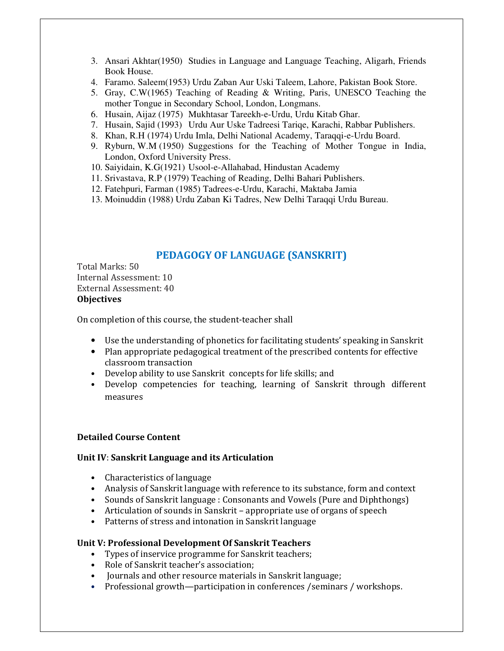- 3. Ansari Akhtar(1950) Studies in Language and Language Teaching, Aligarh, Friends Book House.
- 4. Faramo. Saleem(1953) Urdu Zaban Aur Uski Taleem, Lahore, Pakistan Book Store.
- 5. Gray, C.W(1965) Teaching of Reading & Writing, Paris, UNESCO Teaching the mother Tongue in Secondary School, London, Longmans.
- 6. Husain, Aijaz (1975) Mukhtasar Tareekh-e-Urdu, Urdu Kitab Ghar.
- 7. Husain, Sajid (1993) Urdu Aur Uske Tadreesi Tariqe, Karachi, Rabbar Publishers.
- 8. Khan, R.H (1974) Urdu Imla, Delhi National Academy, Taraqqi-e-Urdu Board.
- 9. Ryburn, W.M (1950) Suggestions for the Teaching of Mother Tongue in India, London, Oxford University Press.
- 10. Saiyidain, K.G(1921) Usool-e-Allahabad, Hindustan Academy
- 11. Srivastava, R.P (1979) Teaching of Reading, Delhi Bahari Publishers.
- 12. Fatehpuri, Farman (1985) Tadrees-e-Urdu, Karachi, Maktaba Jamia
- 13. Moinuddin (1988) Urdu Zaban Ki Tadres, New Delhi Taraqqi Urdu Bureau.

#### PEDAGOGY OF LANGUAGE (SANSKRIT)

Total Marks: 50 Internal Assessment: 10 External Assessment: 40 **Objectives** 

On completion of this course, the student-teacher shall

- Use the understanding of phonetics for facilitating students' speaking in Sanskrit
- Plan appropriate pedagogical treatment of the prescribed contents for effective classroom transaction
- Develop ability to use Sanskrit concepts for life skills; and
- Develop competencies for teaching, learning of Sanskrit through different measures

#### Detailed Course Content

#### Unit IV: Sanskrit Language and its Articulation

- Characteristics of language
- Analysis of Sanskrit language with reference to its substance, form and context
- Sounds of Sanskrit language : Consonants and Vowels (Pure and Diphthongs)
- Articulation of sounds in Sanskrit appropriate use of organs of speech
- Patterns of stress and intonation in Sanskrit language

#### Unit V: Professional Development Of Sanskrit Teachers

- Types of inservice programme for Sanskrit teachers;
- Role of Sanskrit teacher's association;
- Journals and other resource materials in Sanskrit language;
- Professional growth—participation in conferences /seminars / workshops.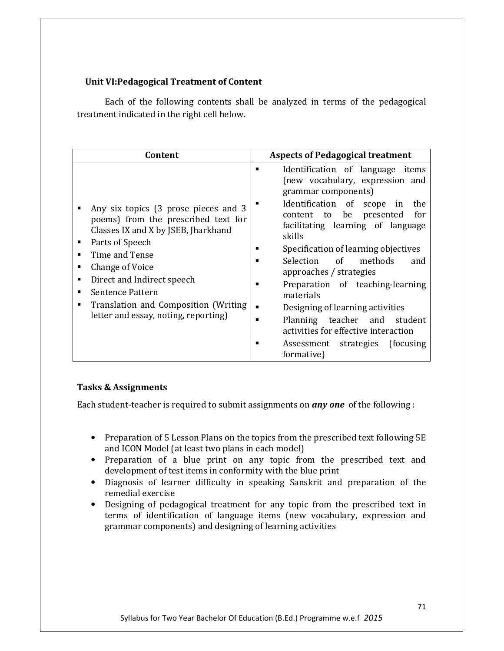#### Unit VI:Pedagogical Treatment of Content

Each of the following contents shall be analyzed in terms of the pedagogical treatment indicated in the right cell below.

| Content                                                                                                                                                                                                                                                                                                                           | <b>Aspects of Pedagogical treatment</b>                                                                                                                                                                                                                                                                                                                                                                                                                                                                                                                                           |
|-----------------------------------------------------------------------------------------------------------------------------------------------------------------------------------------------------------------------------------------------------------------------------------------------------------------------------------|-----------------------------------------------------------------------------------------------------------------------------------------------------------------------------------------------------------------------------------------------------------------------------------------------------------------------------------------------------------------------------------------------------------------------------------------------------------------------------------------------------------------------------------------------------------------------------------|
| Any six topics (3 prose pieces and 3<br>poems) from the prescribed text for<br>Classes IX and X by JSEB, Jharkhand<br>Parts of Speech<br>٠<br>Time and Tense<br>Change of Voice<br>٠<br>Direct and Indirect speech<br>٠<br>Sentence Pattern<br>Translation and Composition (Writing)<br>■<br>letter and essay, noting, reporting) | Identification of language items<br>■<br>(new vocabulary, expression and<br>grammar components)<br>Identification of scope<br>the<br>in<br>be<br>presented<br>for<br>content to<br>facilitating learning of language<br>skills<br>Specification of learning objectives<br>Selection of<br>methods<br>and<br>approaches / strategies<br>Preparation of teaching-learning<br>▪<br>materials<br>Designing of learning activities<br>$\blacksquare$<br>Planning teacher and<br>student<br>activities for effective interaction<br>Assessment strategies (focusing)<br>■<br>formative) |

#### Tasks & Assignments

Each student-teacher is required to submit assignments on *any one* of the following :

- Preparation of 5 Lesson Plans on the topics from the prescribed text following 5E and ICON Model (at least two plans in each model)
- Preparation of a blue print on any topic from the prescribed text and development of test items in conformity with the blue print
- Diagnosis of learner difficulty in speaking Sanskrit and preparation of the remedial exercise
- Designing of pedagogical treatment for any topic from the prescribed text in terms of identification of language items (new vocabulary, expression and grammar components) and designing of learning activities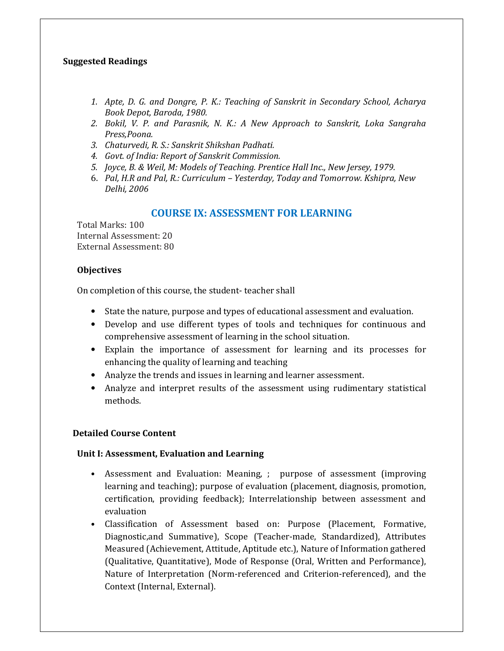#### Suggested Readings

- 1. Apte, D. G. and Dongre, P. K.: Teaching of Sanskrit in Secondary School, Acharya Book Depot, Baroda, 1980.
- 2. Bokil, V. P. and Parasnik, N. K.: A New Approach to Sanskrit, Loka Sangraha Press,Poona.
- 3. Chaturvedi, R. S.: Sanskrit Shikshan Padhati.
- 4. Govt. of India: Report of Sanskrit Commission.
- 5. Joyce, B. & Weil, M: Models of Teaching. Prentice Hall Inc., New Jersey, 1979.
- 6. Pal, H.R and Pal, R.: Curriculum Yesterday, Today and Tomorrow. Kshipra, New Delhi, 2006

#### COURSE IX: ASSESSMENT FOR LEARNING

Total Marks: 100 Internal Assessment: 20 External Assessment: 80

#### **Objectives**

On completion of this course, the student- teacher shall

- State the nature, purpose and types of educational assessment and evaluation.
- Develop and use different types of tools and techniques for continuous and comprehensive assessment of learning in the school situation.
- Explain the importance of assessment for learning and its processes for enhancing the quality of learning and teaching
- Analyze the trends and issues in learning and learner assessment.
- Analyze and interpret results of the assessment using rudimentary statistical methods.

#### Detailed Course Content

#### Unit I: Assessment, Evaluation and Learning

- Assessment and Evaluation: Meaning, ; purpose of assessment (improving learning and teaching); purpose of evaluation (placement, diagnosis, promotion, certification, providing feedback); Interrelationship between assessment and evaluation
- Classification of Assessment based on: Purpose (Placement, Formative, Diagnostic,and Summative), Scope (Teacher-made, Standardized), Attributes Measured (Achievement, Attitude, Aptitude etc.), Nature of Information gathered (Qualitative, Quantitative), Mode of Response (Oral, Written and Performance), Nature of Interpretation (Norm-referenced and Criterion-referenced), and the Context (Internal, External).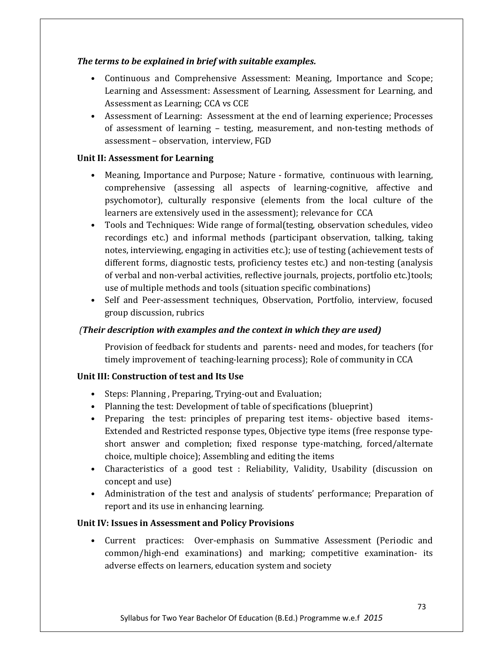#### The terms to be explained in brief with suitable examples.

- Continuous and Comprehensive Assessment: Meaning, Importance and Scope; Learning and Assessment: Assessment of Learning, Assessment for Learning, and Assessment as Learning; CCA vs CCE
- Assessment of Learning: Assessment at the end of learning experience; Processes of assessment of learning – testing, measurement, and non-testing methods of assessment – observation, interview, FGD

#### Unit II: Assessment for Learning

- Meaning, Importance and Purpose; Nature formative, continuous with learning, comprehensive (assessing all aspects of learning-cognitive, affective and psychomotor), culturally responsive (elements from the local culture of the learners are extensively used in the assessment); relevance for CCA
- Tools and Techniques: Wide range of formal(testing, observation schedules, video recordings etc.) and informal methods (participant observation, talking, taking notes, interviewing, engaging in activities etc.); use of testing (achievement tests of different forms, diagnostic tests, proficiency testes etc.) and non-testing (analysis of verbal and non-verbal activities, reflective journals, projects, portfolio etc.)tools; use of multiple methods and tools (situation specific combinations)
- Self and Peer-assessment techniques, Observation, Portfolio, interview, focused group discussion, rubrics

#### (Their description with examples and the context in which they are used)

Provision of feedback for students and parents- need and modes, for teachers (for timely improvement of teaching-learning process); Role of community in CCA

#### Unit III: Construction of test and Its Use

- Steps: Planning , Preparing, Trying-out and Evaluation;
- Planning the test: Development of table of specifications (blueprint)
- Preparing the test: principles of preparing test items- objective based items-Extended and Restricted response types, Objective type items (free response typeshort answer and completion; fixed response type-matching, forced/alternate choice, multiple choice); Assembling and editing the items
- Characteristics of a good test : Reliability, Validity, Usability (discussion on concept and use)
- Administration of the test and analysis of students' performance; Preparation of report and its use in enhancing learning.

#### Unit IV: Issues in Assessment and Policy Provisions

• Current practices: Over-emphasis on Summative Assessment (Periodic and common/high-end examinations) and marking; competitive examination- its adverse effects on learners, education system and society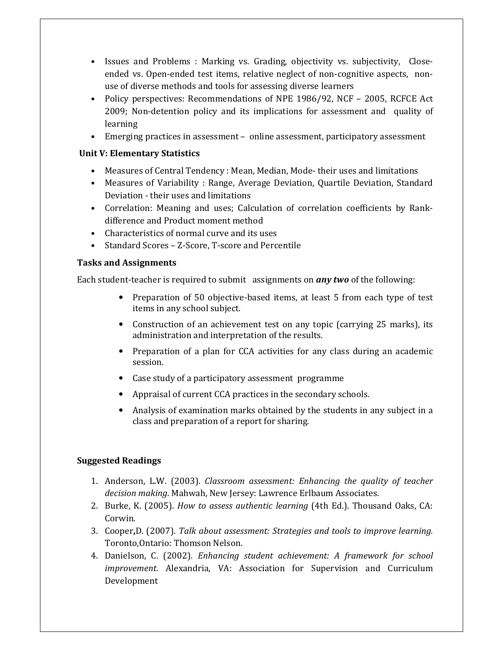- Issues and Problems : Marking vs. Grading, objectivity vs. subjectivity, Closeended vs. Open-ended test items, relative neglect of non-cognitive aspects, nonuse of diverse methods and tools for assessing diverse learners
- Policy perspectives: Recommendations of NPE 1986/92, NCF 2005, RCFCE Act 2009; Non-detention policy and its implications for assessment and quality of learning
- Emerging practices in assessment online assessment, participatory assessment

#### Unit V: Elementary Statistics

- Measures of Central Tendency : Mean, Median, Mode- their uses and limitations
- Measures of Variability : Range, Average Deviation, Quartile Deviation, Standard Deviation - their uses and limitations
- Correlation: Meaning and uses; Calculation of correlation coefficients by Rankdifference and Product moment method
- Characteristics of normal curve and its uses
- Standard Scores Z-Score, T-score and Percentile

#### Tasks and Assignments

Each student-teacher is required to submit assignments on *any two* of the following:

- Preparation of 50 objective-based items, at least 5 from each type of test items in any school subject.
- Construction of an achievement test on any topic (carrying 25 marks), its administration and interpretation of the results.
- Preparation of a plan for CCA activities for any class during an academic session.
- Case study of a participatory assessment programme
- Appraisal of current CCA practices in the secondary schools.
- Analysis of examination marks obtained by the students in any subject in a class and preparation of a report for sharing.

- 1. Anderson, L.W. (2003). Classroom assessment: Enhancing the quality of teacher decision making. Mahwah, New Jersey: Lawrence Erlbaum Associates.
- 2. Burke, K. (2005). How to assess authentic learning (4th Ed.). Thousand Oaks, CA: Corwin.
- 3. Cooper,D. (2007). Talk about assessment: Strategies and tools to improve learning. Toronto,Ontario: Thomson Nelson.
- 4. Danielson, C. (2002). Enhancing student achievement: A framework for school improvement. Alexandria, VA: Association for Supervision and Curriculum Development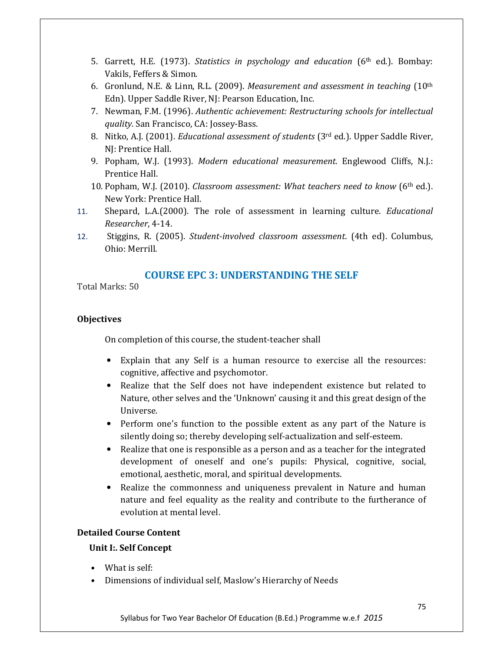- 5. Garrett, H.E. (1973). Statistics in psychology and education  $(6<sup>th</sup>$  ed.). Bombay: Vakils, Feffers & Simon.
- 6. Gronlund, N.E. & Linn, R.L. (2009). Measurement and assessment in teaching  $(10<sup>th</sup>)$ Edn). Upper Saddle River, NJ: Pearson Education, Inc.
- 7. Newman, F.M. (1996). Authentic achievement: Restructuring schools for intellectual quality. San Francisco, CA: Jossey-Bass.
- 8. Nitko, A.J. (2001). *Educational assessment of students* ( $3<sup>rd</sup>$  ed.). Upper Saddle River, NJ: Prentice Hall.
- 9. Popham, W.J. (1993). Modern educational measurement. Englewood Cliffs, N.J.: Prentice Hall.
- 10. Popham, W.J. (2010). Classroom assessment: What teachers need to know (6th ed.). New York: Prentice Hall.
- 11. Shepard, L.A.(2000). The role of assessment in learning culture. Educational Researcher, 4-14.
- 12. Stiggins, R. (2005). Student-involved classroom assessment. (4th ed). Columbus, Ohio: Merrill.

#### COURSE EPC 3: UNDERSTANDING THE SELF

Total Marks: 50

#### **Objectives**

On completion of this course, the student-teacher shall

- Explain that any Self is a human resource to exercise all the resources: cognitive, affective and psychomotor.
- Realize that the Self does not have independent existence but related to Nature, other selves and the 'Unknown' causing it and this great design of the Universe.
- Perform one's function to the possible extent as any part of the Nature is silently doing so; thereby developing self-actualization and self-esteem.
- Realize that one is responsible as a person and as a teacher for the integrated development of oneself and one's pupils: Physical, cognitive, social, emotional, aesthetic, moral, and spiritual developments.
- Realize the commonness and uniqueness prevalent in Nature and human nature and feel equality as the reality and contribute to the furtherance of evolution at mental level.

#### Detailed Course Content

#### Unit I:. Self Concept

- What is self:
- Dimensions of individual self, Maslow's Hierarchy of Needs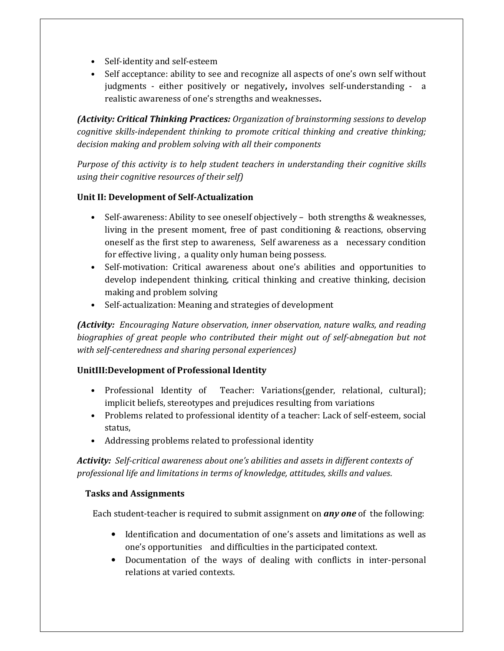- Self-identity and self-esteem
- Self acceptance: ability to see and recognize all aspects of one's own self without judgments - either positively or negatively, involves self-understanding - a realistic awareness of one's strengths and weaknesses.

(Activity: Critical Thinking Practices: Organization of brainstorming sessions to develop cognitive skills-independent thinking to promote critical thinking and creative thinking; decision making and problem solving with all their components

Purpose of this activity is to help student teachers in understanding their cognitive skills using their cognitive resources of their self)

#### Unit II: Development of Self-Actualization

- Self-awareness: Ability to see oneself objectively both strengths & weaknesses, living in the present moment, free of past conditioning & reactions, observing oneself as the first step to awareness, Self awareness as a necessary condition for effective living , a quality only human being possess.
- Self-motivation: Critical awareness about one's abilities and opportunities to develop independent thinking, critical thinking and creative thinking, decision making and problem solving
- Self-actualization: Meaning and strategies of development

(Activity: Encouraging Nature observation, inner observation, nature walks, and reading biographies of great people who contributed their might out of self-abnegation but not with self-centeredness and sharing personal experiences)

#### UnitIII:Development of Professional Identity

- Professional Identity of Teacher: Variations(gender, relational, cultural); implicit beliefs, stereotypes and prejudices resulting from variations
- Problems related to professional identity of a teacher: Lack of self-esteem, social status,
- Addressing problems related to professional identity

Activity: Self-critical awareness about one's abilities and assets in different contexts of professional life and limitations in terms of knowledge, attitudes, skills and values.

#### Tasks and Assignments

Each student-teacher is required to submit assignment on **any one** of the following:

- Identification and documentation of one's assets and limitations as well as one's opportunities and difficulties in the participated context.
- Documentation of the ways of dealing with conflicts in inter-personal relations at varied contexts.